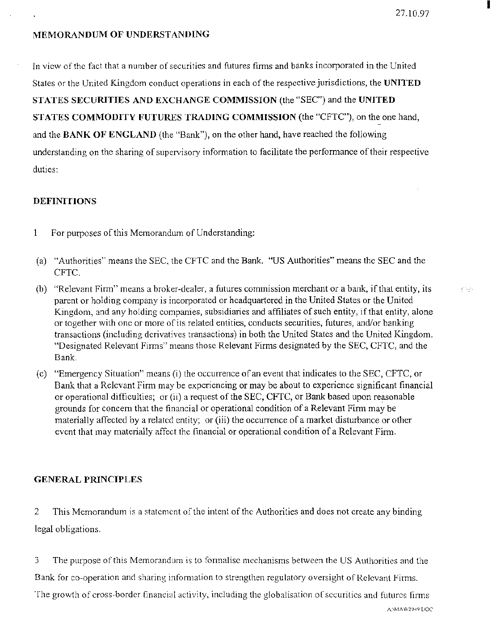# MEMORANDUM OF UNDERSTANDING

In view of the fact that a number of securities and futures firms and banks incorporated in the United States or the United Kingdom conduct operations in each of the respective jurisdictions, the **UNITED**  STATES SECURITIES AND EXCHANGE COMMISSION (the "SEC") and the UNITED STATES COMMODITY FUTURES TRADING COMMISSION (the "CFTC"), on the one hand, and the **BANK OF ENGLAND** (the "Bank''), on the other hand, have reached the following understanding on the sharing of supervisory information to facilitate the performance of their respective duties:

# **DEFINITIONS**

- 1 For purposes of this Memorandum of Understanding:
- (a) "Authorities" means the SEC, the CFTC and the Bank. "US Authorities" means the SEC and the CFTC.
- (b) "Relevant Firm" means a broker-dealer, a futures commission merchant or a bank, if that entity, its parent or holding company is incorporated or headquartered in the United States or the United Kingdom, and any holding companies, subsidiaries and affiliates of such entity, if that entity, alone or together with one or more of its related entities, conducts securities, futures, and/or banking transactions (including derivatives transactions) in both the United States and the United Kingdom. "Designated Relevant Finns" means those Relevant Finns designated by the SEC, CFTC, and the Bank.
- (c) "Emergency Situation" means (i) the occurrence of an event that indicates to the SEC, CFTC, or Bank that a Relevant Firm may be experiencing or may be about to experience significant financial or operational difficulties; or (ii) a request of the SEC, CFTC, or Bank based upon reasonable grounds for concem that the financial or operational condition of a Relevant Firm may be materially affected by a related entity; or (iii) the occurrence of a market disturbance or other event that may materially affect the financial or operational condition of a Relevant Firm.

# GENERAL PRINCIPLES

2 This Memorandum is a statement of the intent of the Authorities and does not create any binding legal obligations.

3 The purpose of this Memorandum is to formalise mechanisms between the US Authorities and the Bank for co-operation and sharing information to strengthen regulatory oversight of Relevant Firms. The growth of cross-border financial activity, including the globalisation of securities and futures firms

A:\MAW2949 DOC

I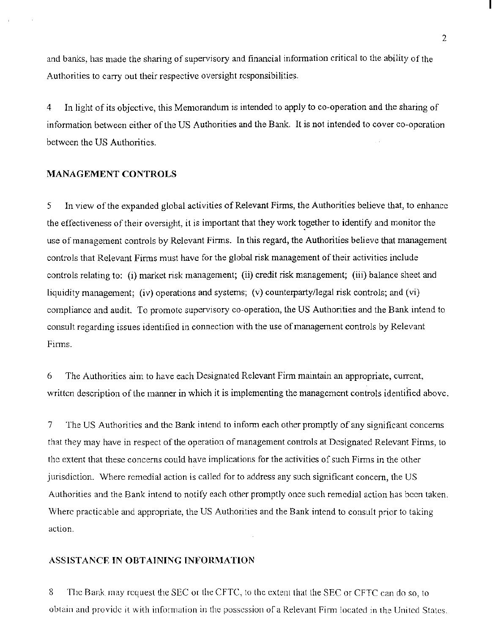and banks, has made the sharing of supervisory and financial information critical to the ability of the Authorities to carry out their respective oversight responsibilities.

4 In light of its objective, this Memorandum is intended to apply to co-operation and the sharing of information between either of the US Authorities and the Bank. It is not intended to cover co-operation between the US Authorities.

## MANAGEMENT CONTROLS

5 In view of the expanded global activities of Relevant Finns, the Authorities believe that, to enhance the effectiveness of their oversight, it is important that they work together to identify and monitor the use of management controls by Relevant Firms. In this regard, the Authorities believe that management controls that Relevant Firms must have for the global risk management of their activities include controls relating to: (i) market risk management; (ii) credit risk management; (iii) balance sheet and liquidity management; (iv) operations and systems; (v) counterparty/legal risk controls; and (vi) compliance and audit. To promote supervisory co-operation, the US Authorities and the Bank intend to consult regarding issues identified in connection with the use of management controls by Relevant Finns.

6 The Authorities aim to have each Designated Relevant Firm maintain an appropriate, current, written description of the manner in which it is implementing the management controls identified above.

7 The US Authorities and the Bank intend to inform each other promptly of any significant concerns that they may have in respect of the operation of management controls at Designated Relevant Finns, to the extent that these concerns could have implications for the activities of such Firms in the other jurisdiction. Where remedial action is called for to address any such significant concern, the US Authorities and the Bank intend to notify each other promptly once such remedial action has been taken. Where practicable and appropriate, the US Authorities and the Bank intend to consult prior to taking action.

#### ASSISTANCE IN OBTAINING INFORMATION

8 The Bank may request the SEC or the CFTC, to the extent that the SEC or CFTC can do so, to obtam and provide 1t with information in the possession of a Relevant Finn located m the Umted States.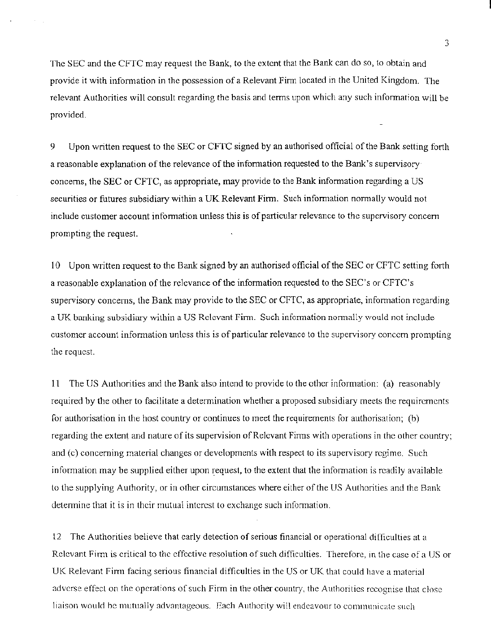The SEC and the CFTC may request the Bank, to the extent that the Bank can do so, to obtain and provide it with information in the possession of a Relevant Finn located m the United Kingdom. The relevant Authorities will consult regarding the basis and terms upon which any such information will be provided.

9 Upon written request to the SEC or CFTC signed by an authorised official of the Bank setting forth a reasonable explanation of the relevance of the information requested to the Bank's supervisory concerns, the SEC or CFTC, as appropriate, may provide to the Bank information regarding a US securities or futures subsidiary within a UK Relevant Firm. Such information normally would not include customer account information unless this is of particular relevance to the supervisory concern prompting the request.

10 Upon written request to the Bank signed by an authorised official of the SEC or CFTC setting forth a reasonable explanation of the relevance of the information requested to the SEC's or CFTC's supervisory concerns, the Bank may provide to the SEC or CFTC, as appropriate, information regarding a UK banking subsidiary within a US Relevant Firm. Such information normally would not include customer account information unless this is of particular relevance to the supervisory concern prompting the request.

11 The US Authorities and the Bank also intend to provide to the other information: (a) reasonably required by the other to facilitate a determination whether a proposed subsidiary meets the requirements for authorisation in the host country or continues to meet the requirements for authorisation; (b) regarding the extent and nature of its supervision of Relevant Finns with operations in the other country; and (c) concerning material changes or developments with respect to its supervisory regime. Such information may be supplied either upon request, to the extent that the information is readily available to the supplying Authority, or in other circumstances where either of the US Authorities and the Bank detenninc that it is in their mutual interest to exchange such infonnation.

12 The Authonties believe that early detection of serious financial or operational difficulties at a Relevant Firm is critical to the effective resolution of such difficulties. Therefore, in the case of a US or UK Relevant Finn facing serious financial difficulties in the US or UK that could have a matcnal adverse effect on the operations of such Firm in the other country, the Authonties recognise that close liaison would be mutually advantageous. Each Authority will endeavour to communicate such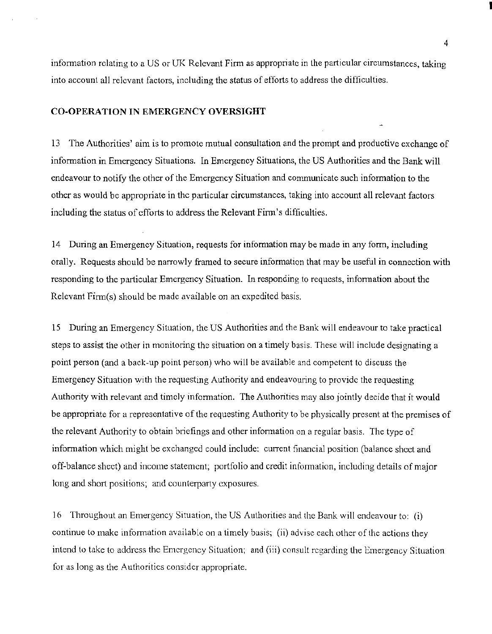information relating to a US or UK Relevant Firm as appropriate in the particular circumstances, taking into account all relevant factors, including the status of efforts to address the difficulties.

### CO-OPERATION IN EMERGENCY OVERSIGHT

13 The Authorities' aim is to promote mutual consultation and the prompt and productive exchange of information in Emergency Situations. In Emergency Situations, the US Authorities and the Bank will endeavour to notify the other of the Emergency Situation and communicate such information to the other as would be appropriate in the particular circumstances, taking into account all relevant factors including the status of efforts to address the Relevant Firm's difficulties.

14 During an Emergency Situation, requests for information may be made in any form, including orally. Requests should be narrowly framed to secure information that may be useful in connection with responding to the particular Emergency Situation. In responding to requests, information about the Relevant Firm(s) should be made available on an expedited basis.

15 During an Emergency Situation, the US Authorities and the Bank will endeavour to take practical steps to assist the other in monitoring the situation on a timely basis. These will include designating a point person (and a back-up point person) who will be available and competent to discuss the Emergency Situation with the requesting Authority and endeavouring to provide the requesting Authority with relevant and timely information. The Authorities may also jointly decide that it would be appropriate for a representative of the requesting Authority to be physically present at the premises of the relevant Authority to obtain briefings and other information on a regular basis. The type of information which might be exchanged could include: current financial position (balance sheet and off-balance sheet) and income statement; portfolio and credit information, including details of major long and short positions; and counterparty exposures.

16 Throughout an Emergency Situation, the US Authorities and the Bank. will endeavour to: (i) continue to make information available on a timely basis; (ii) advise each other of the actions they intend to take to address the Emergency Situation; and (iii) consult regarding the Emergency Situation for as long as the Authorities consider appropriate.

I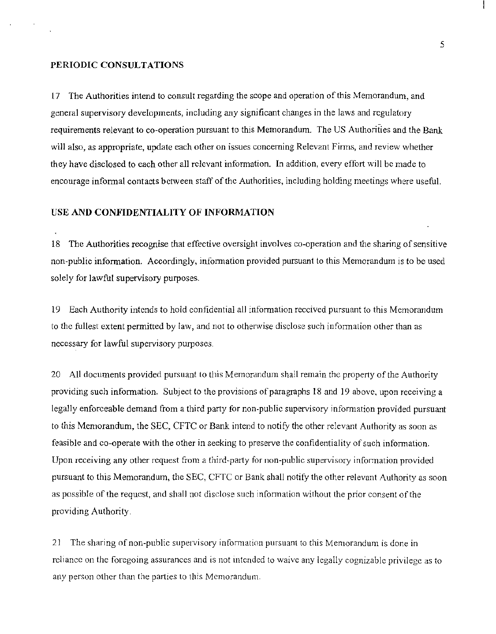#### PERIODIC CONSULTATIONS

17 The Authorities intend to consult regarding the scope and operation of this Memorandum, and general supervisory developments, including any significant changes in the laws and regulatory requirements relevant to co-operation pursuant to this Memorandum. The US Authorities and the Bank will also, as appropriate, update each other on issues concerning Relevant Firms, and review whether they have disclosed to each other all relevant information. In addition, every effort will be made to encourage informal contacts between staff of the Authorities, including holding meetings where useful.

### USE AND CONFIDENTIALITY OF INFORMATION

18 The Authorities recognise that effective oversight involves co-operation and the sharing of sensitive non-public information. Accordingly, information provided pursuant to this Memorandum is to be used solely for lawful supervisory purposes.

19 Each Authority intends to hold confidential all information received pursuant to this Memorandum to the fullest extent permitted by law, and not to otherwise disclose such information other than as necessary for lawful supervisory purposes.

20 All documents provided pursuant to this Memordndum shall remain the property of the Authority providing such information. Subject to the provisions of paragraphs 18 and 19 above, upon receiving a legally enforceable demand from a third party for non-public supervisory information provided pursuant to this Memorandum, the SEC, CFTC or Bank intend to notify the other relevant Authority as soon as feasible and co-operate with the other in seeking to preserve the confidentiality of such information. Upon receiving any other request from a third-party for non-public supervisory information provided pursuant to this Memorandum, the SEC, CFTC or Bank shall notify the other relevant Authority as soon as possible of the request, and shall not disclose such information without the prior consent of the providing Authority.

21 The sharing of non-public supervisory information pursuant to this Memorandum is done in reliance on the foregoing assurances and is not intended to waive any legally cognizable privilege as to any person other than the parties to this Memorandum.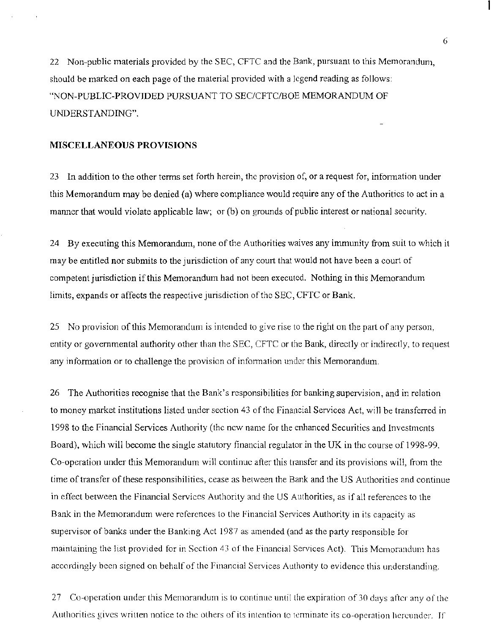22 Non-public materials provided by the SEC, CFTC and the Bank, pursuant to this Memorandum, should be marked on each page of the material provided with a legend reading as follows: "NON-PUBLIC-PROVIDED PURSUANT TO SEC/CFTC/BOE MEMORANDUM OF UNDERSTANDING".

### MISCELLANEOUS PROVISIONS

23 In addition to the other terms set forth herein, the provision of, or a request for, information under this Memorandum may be denied (a) where compliance would require any of the Authorities to act in a manner that would violate applicable law; or (b) on grounds of public interest or national security.

24 By executing this Memorandum, none of the Authorities waives any immunity from suit to which it may be entitled nor submits to the jurisdiction of any court that would not have been a court of competent jurisdiction if this Memorandum had not been executed. Nothing in this Memorandum limits, expands or affects the respective jurisdiction of the SEC, CFTC or Bank.

25 No provision of this Memorandum is intended to give rise to the right on the part of any person, entity or governmental authority other than the SEC, CFTC or the Bank, directly or indirectly, to request any information or to challenge the provision of information under this Memorandum.

26 The Authorities recognise that the Bank's responsibilities for banking supervision, and in relation to money market institutions listed under section 43 of the Financial Services Act, will be transferred in 1998 to the Financial Services Authority (the new name for the enhanced Securities and Investments Board), which will become the single statutory financial regulator in the UK in the course of 1998-99. Co-operation under this Memorandum will continue after this transfer and its provisions will, from the time of transfer of these responsibilities, cease as between the Bank and the US Authorities and continue in effect between the Financial Services Authority and the US Authorities, as if all references to the Bank in the Memorandum were references to the Financial Services Authority in its capacity as supervisor of banks under the Banking Act 1987 as amended (and as the party responsible for maintaining the list provided for in Section 43 of the Financial Services Act). This Memorandum has accordingly been signed on behalf of the Financial Services Authority to evidence this understanding.

27 Co-operation under this Memorandum is to continue until the expiration of 30 days after any of the Authorities gives written notice to the others of its intention to terminate its co-operation hereunder. If